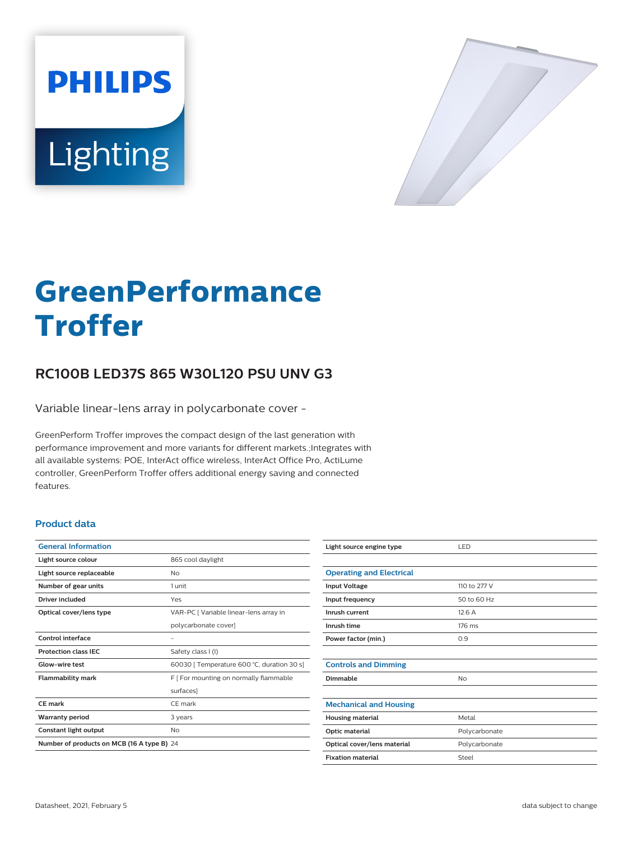



# **GreenPerformance Troffer**

# **RC100B LED37S 865 W30L120 PSU UNV G3**

Variable linear-lens array in polycarbonate cover -

GreenPerform Troffer improves the compact design of the last generation with performance improvement and more variants for different markets.;Integrates with all available systems: POE, InterAct office wireless, InterAct Office Pro, ActiLume controller, GreenPerform Troffer offers additional energy saving and connected features.

## **Product data**

| <b>General Information</b>                 |                                            |
|--------------------------------------------|--------------------------------------------|
| Light source colour                        | 865 cool daylight                          |
| Light source replaceable                   | <b>No</b>                                  |
| Number of gear units                       | 1 unit                                     |
| Driver included                            | Yes                                        |
| Optical cover/lens type                    | VAR-PC [ Variable linear-lens array in     |
|                                            | polycarbonate cover]                       |
| Control interface                          |                                            |
| <b>Protection class IEC</b>                | Safety class I (I)                         |
| Glow-wire test                             | 60030   Temperature 600 °C, duration 30 s] |
| <b>Flammability mark</b>                   | F [ For mounting on normally flammable     |
|                                            | surfaces]                                  |
| CF mark                                    | CF mark                                    |
| <b>Warranty period</b>                     | 3 years                                    |
| Constant light output                      | No                                         |
| Number of products on MCB (16 A type B) 24 |                                            |

| Light source engine type        | LED           |
|---------------------------------|---------------|
|                                 |               |
| <b>Operating and Electrical</b> |               |
| <b>Input Voltage</b>            | 110 to 277 V  |
| Input frequency                 | 50 to 60 Hz   |
| Inrush current                  | 12.6A         |
| Inrush time                     | 176 ms        |
| Power factor (min.)             | 0.9           |
|                                 |               |
| <b>Controls and Dimming</b>     |               |
| Dimmable                        | No            |
|                                 |               |
| <b>Mechanical and Housing</b>   |               |
| <b>Housing material</b>         | Metal         |
| Optic material                  | Polycarbonate |
| Optical cover/lens material     | Polycarbonate |
| <b>Fixation material</b>        | Steel         |
|                                 |               |